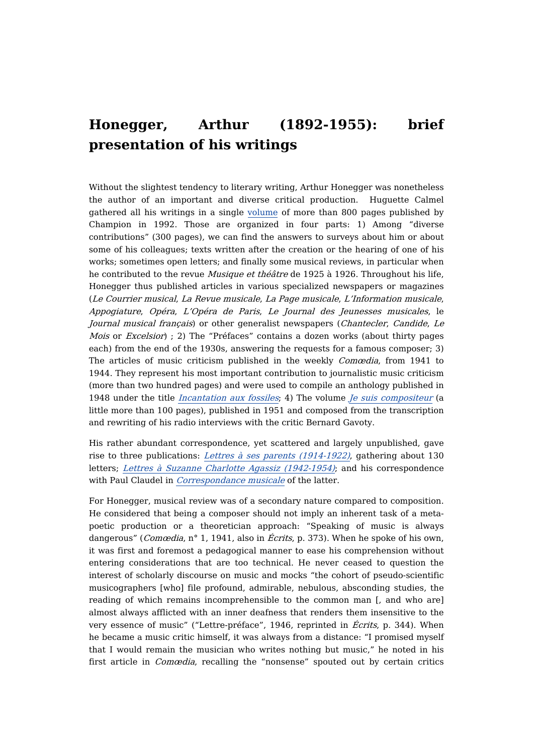## **Honegger, Arthur (1892-1955): brief presentation of his writings**

Without the slightest tendency to literary writing, Arthur Honegger was nonetheless the author of an important and diverse critical production. Huguette Calmel gathered all his writings in a single [volume](https://dicteco.huma-num.fr/fr/anthology/37572) of more than 800 pages published by Champion in 1992. Those are organized in four parts: 1) Among "diverse contributions" (300 pages), we can find the answers to surveys about him or about some of his colleagues; texts written after the creation or the hearing of one of his works; sometimes open letters; and finally some musical reviews, in particular when he contributed to the revue *Musique et théâtre* de 1925 à 1926. Throughout his life, Honegger thus published articles in various specialized newspapers or magazines (Le Courrier musical, La Revue musicale, La Page musicale, L'Information musicale, Appogiature, Opéra, L'Opéra de Paris, Le Journal des Jeunesses musicales, le Journal musical français) or other generalist newspapers (Chantecler, Candide, Le Mois or Excelsior) ; 2) The "Préfaces" contains a dozen works (about thirty pages each) from the end of the 1930s, answering the requests for a famous composer; 3) The articles of music criticism published in the weekly Comœdia, from 1941 to 1944. They represent his most important contribution to journalistic music criticism (more than two hundred pages) and were used to compile an anthology published in 1948 under the title *[Incantation](https://dicteco.huma-num.fr/fr/book/37548) aux fossiles*; 4) The volume *Je suis [compositeur](https://dicteco.huma-num.fr/fr/book/37553)* (a little more than 100 pages), published in 1951 and composed from the transcription and rewriting of his radio interviews with the critic Bernard Gavoty.

His rather abundant correspondence, yet scattered and largely unpublished, gave rise to three publications: Lettres à ses parents [\(1914-1922\)](https://dicteco.huma-num.fr/fr/anthology/37557), gathering about 130 letters; Lettres à Suzanne Charlotte Agassiz [\(1942-1954\)](https://dicteco.huma-num.fr/fr/anthology/37568); and his correspondence with Paul Claudel in *[Correspondance](https://dicteco.huma-num.fr/fr/anthology/37583) musicale* of the latter.

For Honegger, musical review was of a secondary nature compared to composition. He considered that being a composer should not imply an inherent task of a metapoetic production or a theoretician approach: "Speaking of music is always dangerous" (*Comœdia*, n° 1, 1941, also in *Écrits*, p. 373). When he spoke of his own, it was first and foremost a pedagogical manner to ease his comprehension without entering considerations that are too technical. He never ceased to question the interest of scholarly discourse on music and mocks "the cohort of pseudo-scientific musicographers [who] file profound, admirable, nebulous, absconding studies, the reading of which remains incomprehensible to the common man [, and who are] almost always afflicted with an inner deafness that renders them insensitive to the very essence of music" ("Lettre-préface", 1946, reprinted in Écrits, p. 344). When he became a music critic himself, it was always from a distance: "I promised myself that I would remain the musician who writes nothing but music," he noted in his first article in Comœdia, recalling the "nonsense" spouted out by certain critics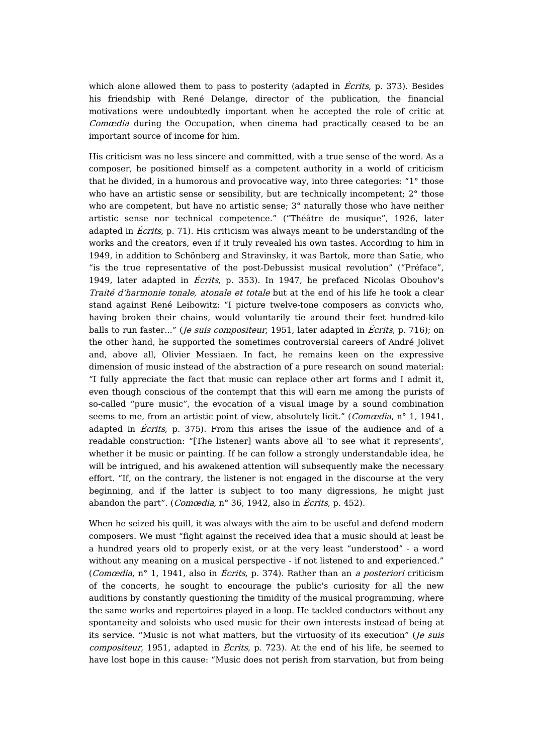which alone allowed them to pass to posterity (adapted in *Écrits*, p. 373). Besides his friendship with René Delange, director of the publication, the financial motivations were undoubtedly important when he accepted the role of critic at Comœdia during the Occupation, when cinema had practically ceased to be an important source of income for him.

His criticism was no less sincere and committed, with a true sense of the word. As a composer, he positioned himself as a competent authority in a world of criticism that he divided, in a humorous and provocative way, into three categories: "1° those who have an artistic sense or sensibility, but are technically incompetent; 2<sup>°</sup> those who are competent, but have no artistic sense; 3° naturally those who have neither artistic sense nor technical competence." ("Théâtre de musique", 1926, later adapted in Écrits, p. 71). His criticism was always meant to be understanding of the works and the creators, even if it truly revealed his own tastes. According to him in 1949, in addition to Schönberg and Stravinsky, it was Bartok, more than Satie, who "is the true representative of the post-Debussist musical revolution" ("Préface", 1949, later adapted in Écrits, p. 353). In 1947, he prefaced Nicolas Obouhov's Traité d'harmonie tonale, atonale et totale but at the end of his life he took a clear stand against René Leibowitz: "I picture twelve-tone composers as convicts who, having broken their chains, would voluntarily tie around their feet hundred-kilo balls to run faster..." (*Je suis compositeur*, 1951, later adapted in *Écrits*, p. 716); on the other hand, he supported the sometimes controversial careers of André Jolivet and, above all, Olivier Messiaen. In fact, he remains keen on the expressive dimension of music instead of the abstraction of a pure research on sound material: "I fully appreciate the fact that music can replace other art forms and I admit it, even though conscious of the contempt that this will earn me among the purists of so-called "pure music", the evocation of a visual image by a sound combination seems to me, from an artistic point of view, absolutely licit." (Comœdia, n° 1, 1941, adapted in *Écrits*, p. 375). From this arises the issue of the audience and of a readable construction: "[The listener] wants above all 'to see what it represents', whether it be music or painting. If he can follow a strongly understandable idea, he will be intrigued, and his awakened attention will subsequently make the necessary effort. "If, on the contrary, the listener is not engaged in the discourse at the very beginning, and if the latter is subject to too many digressions, he might just abandon the part". (*Comœdia*, n° 36, 1942, also in *Écrits*, p. 452).

When he seized his quill, it was always with the aim to be useful and defend modern composers. We must "fight against the received idea that a music should at least be a hundred years old to properly exist, or at the very least "understood" - a word without any meaning on a musical perspective - if not listened to and experienced." (Comœdia, n° 1, 1941, also in Écrits, p. 374). Rather than an a posteriori criticism of the concerts, he sought to encourage the public's curiosity for all the new auditions by constantly questioning the timidity of the musical programming, where the same works and repertoires played in a loop. He tackled conductors without any spontaneity and soloists who used music for their own interests instead of being at its service. "Music is not what matters, but the virtuosity of its execution" (*Je suis compositeur*, 1951, adapted in *Écrits*, p. 723). At the end of his life, he seemed to have lost hope in this cause: "Music does not perish from starvation, but from being